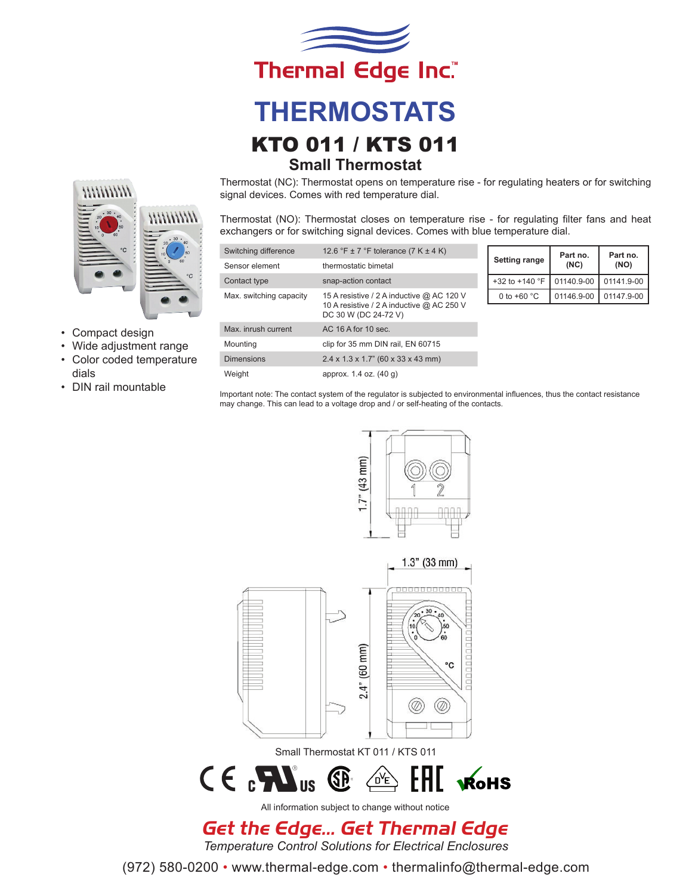

## **THERMOSTATS** KTO 011 / KTS 011 **Small Thermostat**



- • Compact design
- • Wide adjustment range
- • Color coded temperature dials
- • DIN rail mountable

Thermostat (NC): Thermostat opens on temperature rise - for regulating heaters or for switching signal devices. Comes with red temperature dial.

Thermostat (NO): Thermostat closes on temperature rise - for regulating filter fans and heat exchangers or for switching signal devices. Comes with blue temperature dial.

| Switching difference    | 12.6 °F $\pm$ 7 °F tolerance (7 K $\pm$ 4 K)                                                                   |                |
|-------------------------|----------------------------------------------------------------------------------------------------------------|----------------|
| Sensor element          | thermostatic bimetal                                                                                           |                |
| Contact type            | snap-action contact                                                                                            | $\overline{+}$ |
| Max. switching capacity | 15 A resistive / 2 A inductive @ AC 120 V<br>10 A resistive / 2 A inductive @ AC 250 V<br>DC 30 W (DC 24-72 V) |                |
| Max. inrush current     | AC 16 A for 10 sec.                                                                                            |                |
| Mounting                | clip for 35 mm DIN rail, EN 60715                                                                              |                |
| <b>Dimensions</b>       | $2.4 \times 1.3 \times 1.7$ " (60 x 33 x 43 mm)                                                                |                |
| Weight                  | approx. 1.4 oz. (40 g)                                                                                         |                |

| Setting range           | Part no.<br>(NC)        | Part no.<br>(NO) |
|-------------------------|-------------------------|------------------|
| +32 to +140 $\degree$ F | 01140.9-00              | 01141.9-00       |
| 0 to $+60 °C$           | 01146.9-00   01147.9-00 |                  |

Important note: The contact system of the regulator is subjected to environmental influences, thus the contact resistance may change. This can lead to a voltage drop and / or self-heating of the contacts.



All information subject to change without notice

## Get the Edge... Get Thermal Edge

*Temperature Control Solutions for Electrical Enclosures*

(972) 580-0200 • www.thermal-edge.com • thermalinfo@thermal-edge.com